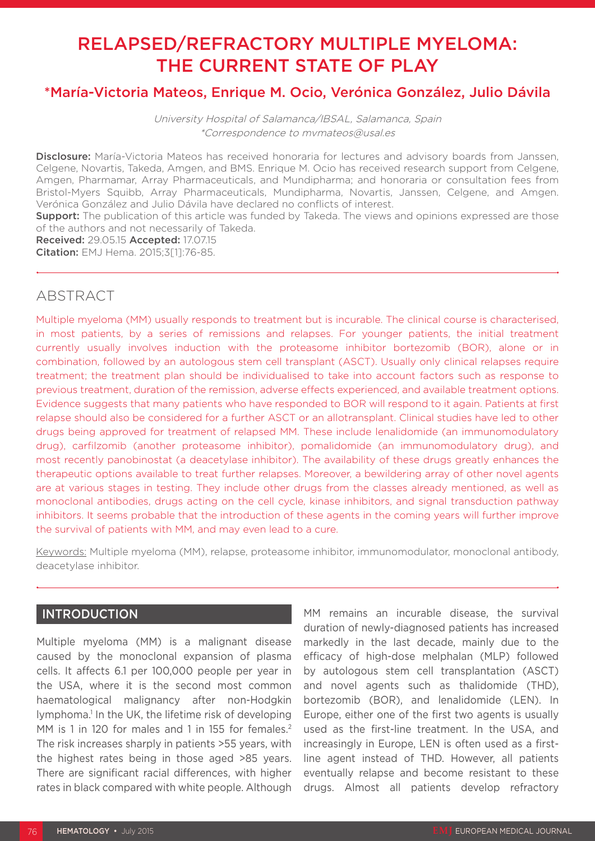# RELAPSED/REFRACTORY MULTIPLE MYELOMA: THE CURRENT STATE OF PLAY

# \*María-Victoria Mateos, Enrique M. Ocio, Verónica González, Julio Dávila

University Hospital of Salamanca/IBSAL, Salamanca, Spain \*Correspondence to mvmateos@usal.es

Disclosure: María-Victoria Mateos has received honoraria for lectures and advisory boards from Janssen, Celgene, Novartis, Takeda, Amgen, and BMS. Enrique M. Ocio has received research support from Celgene, Amgen, Pharmamar, Array Pharmaceuticals, and Mundipharma; and honoraria or consultation fees from Bristol-Myers Squibb, Array Pharmaceuticals, Mundipharma, Novartis, Janssen, Celgene, and Amgen. Verónica González and Julio Dávila have declared no conflicts of interest.

**Support:** The publication of this article was funded by Takeda. The views and opinions expressed are those of the authors and not necessarily of Takeda.

Received: 29.05.15 Accepted: 17.07.15 Citation: EMJ Hema. 2015;3[1]:76-85.

# ABSTRACT

Multiple myeloma (MM) usually responds to treatment but is incurable. The clinical course is characterised, in most patients, by a series of remissions and relapses. For younger patients, the initial treatment currently usually involves induction with the proteasome inhibitor bortezomib (BOR), alone or in combination, followed by an autologous stem cell transplant (ASCT). Usually only clinical relapses require treatment; the treatment plan should be individualised to take into account factors such as response to previous treatment, duration of the remission, adverse effects experienced, and available treatment options. Evidence suggests that many patients who have responded to BOR will respond to it again. Patients at first relapse should also be considered for a further ASCT or an allotransplant. Clinical studies have led to other drugs being approved for treatment of relapsed MM. These include lenalidomide (an immunomodulatory drug), carfilzomib (another proteasome inhibitor), pomalidomide (an immunomodulatory drug), and most recently panobinostat (a deacetylase inhibitor). The availability of these drugs greatly enhances the therapeutic options available to treat further relapses. Moreover, a bewildering array of other novel agents are at various stages in testing. They include other drugs from the classes already mentioned, as well as monoclonal antibodies, drugs acting on the cell cycle, kinase inhibitors, and signal transduction pathway inhibitors. It seems probable that the introduction of these agents in the coming years will further improve the survival of patients with MM, and may even lead to a cure.

Keywords: Multiple myeloma (MM), relapse, proteasome inhibitor, immunomodulator, monoclonal antibody, deacetylase inhibitor.

### INTRODUCTION

Multiple myeloma (MM) is a malignant disease caused by the monoclonal expansion of plasma cells. It affects 6.1 per 100,000 people per year in the USA, where it is the second most common haematological malignancy after non-Hodgkin lymphoma.<sup>1</sup> In the UK, the lifetime risk of developing MM is 1 in 120 for males and 1 in 155 for females.<sup>2</sup> The risk increases sharply in patients >55 years, with the highest rates being in those aged >85 years. There are significant racial differences, with higher rates in black compared with white people. Although

MM remains an incurable disease, the survival duration of newly-diagnosed patients has increased markedly in the last decade, mainly due to the efficacy of high-dose melphalan (MLP) followed by autologous stem cell transplantation (ASCT) and novel agents such as thalidomide (THD), bortezomib (BOR), and lenalidomide (LEN). In Europe, either one of the first two agents is usually used as the first-line treatment. In the USA, and increasingly in Europe, LEN is often used as a firstline agent instead of THD. However, all patients eventually relapse and become resistant to these drugs. Almost all patients develop refractory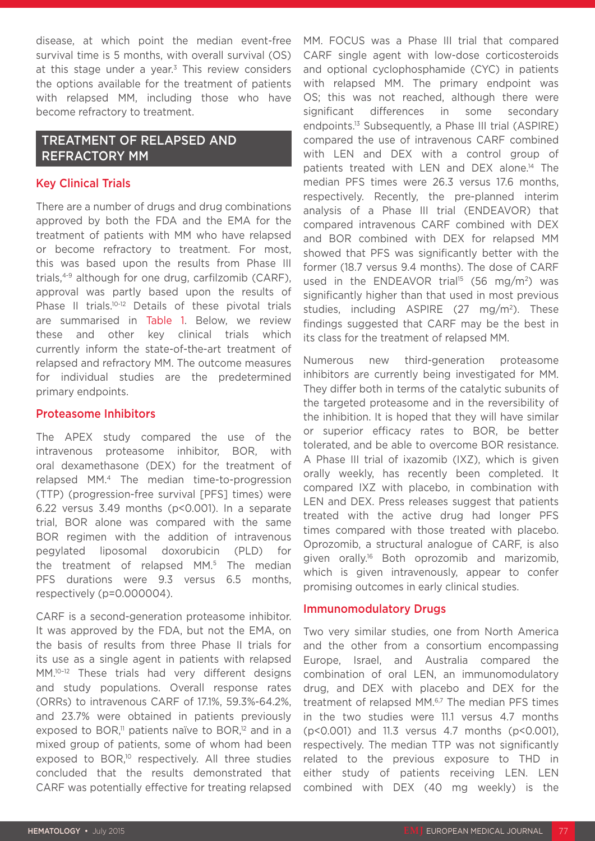disease, at which point the median event-free survival time is 5 months, with overall survival (OS) at this stage under a year.<sup>3</sup> This review considers the options available for the treatment of patients with relapsed MM, including those who have become refractory to treatment.

### TREATMENT OF RELAPSED AND REFRACTORY MM

#### Key Clinical Trials

There are a number of drugs and drug combinations approved by both the FDA and the EMA for the treatment of patients with MM who have relapsed or become refractory to treatment. For most, this was based upon the results from Phase III trials,4-9 although for one drug, carfilzomib (CARF), approval was partly based upon the results of Phase II trials.<sup>10-12</sup> Details of these pivotal trials are summarised in Table 1. Below, we review these and other key clinical trials which currently inform the state-of-the-art treatment of relapsed and refractory MM. The outcome measures for individual studies are the predetermined primary endpoints.

#### Proteasome Inhibitors

The APEX study compared the use of the intravenous proteasome inhibitor, BOR, with oral dexamethasone (DEX) for the treatment of relapsed MM.4 The median time-to-progression (TTP) (progression-free survival [PFS] times) were 6.22 versus 3.49 months (p<0.001). In a separate trial, BOR alone was compared with the same BOR regimen with the addition of intravenous pegylated liposomal doxorubicin (PLD) for the treatment of relapsed MM.5 The median PFS durations were 9.3 versus 6.5 months, respectively (p=0.000004).

CARF is a second-generation proteasome inhibitor. It was approved by the FDA, but not the EMA, on the basis of results from three Phase II trials for its use as a single agent in patients with relapsed MM.10–12 These trials had very different designs and study populations. Overall response rates (ORRs) to intravenous CARF of 17.1%, 59.3%-64.2%, and 23.7% were obtained in patients previously exposed to BOR, $\mu$ <sup>1</sup> patients naïve to BOR, $\mu$ <sup>2</sup> and in a mixed group of patients, some of whom had been exposed to BOR,<sup>10</sup> respectively. All three studies concluded that the results demonstrated that CARF was potentially effective for treating relapsed

MM. FOCUS was a Phase III trial that compared CARF single agent with low-dose corticosteroids and optional cyclophosphamide (CYC) in patients with relapsed MM. The primary endpoint was OS; this was not reached, although there were significant differences in some secondary endpoints.13 Subsequently, a Phase III trial (ASPIRE) compared the use of intravenous CARF combined with LEN and DEX with a control group of patients treated with LEN and DEX alone.<sup>14</sup> The median PFS times were 26.3 versus 17.6 months, respectively. Recently, the pre-planned interim analysis of a Phase III trial (ENDEAVOR) that compared intravenous CARF combined with DEX and BOR combined with DEX for relapsed MM showed that PFS was significantly better with the former (18.7 versus 9.4 months). The dose of CARF used in the ENDEAVOR trial<sup>15</sup> (56 mg/m<sup>2</sup>) was significantly higher than that used in most previous studies, including ASPIRE  $(27 \text{ mg/m}^2)$ . These findings suggested that CARF may be the best in its class for the treatment of relapsed MM.

Numerous new third-generation proteasome inhibitors are currently being investigated for MM. They differ both in terms of the catalytic subunits of the targeted proteasome and in the reversibility of the inhibition. It is hoped that they will have similar or superior efficacy rates to BOR, be better tolerated, and be able to overcome BOR resistance. A Phase III trial of ixazomib (IXZ), which is given orally weekly, has recently been completed. It compared IXZ with placebo, in combination with LEN and DEX. Press releases suggest that patients treated with the active drug had longer PFS times compared with those treated with placebo. Oprozomib, a structural analogue of CARF, is also given orally.16 Both oprozomib and marizomib, which is given intravenously, appear to confer promising outcomes in early clinical studies.

#### Immunomodulatory Drugs

Two very similar studies, one from North America and the other from a consortium encompassing Europe, Israel, and Australia compared the combination of oral LEN, an immunomodulatory drug, and DEX with placebo and DEX for the treatment of relapsed MM.6,7 The median PFS times in the two studies were 11.1 versus 4.7 months (p<0.001) and 11.3 versus 4.7 months (p<0.001), respectively. The median TTP was not significantly related to the previous exposure to THD in either study of patients receiving LEN. LEN combined with DEX (40 mg weekly) is the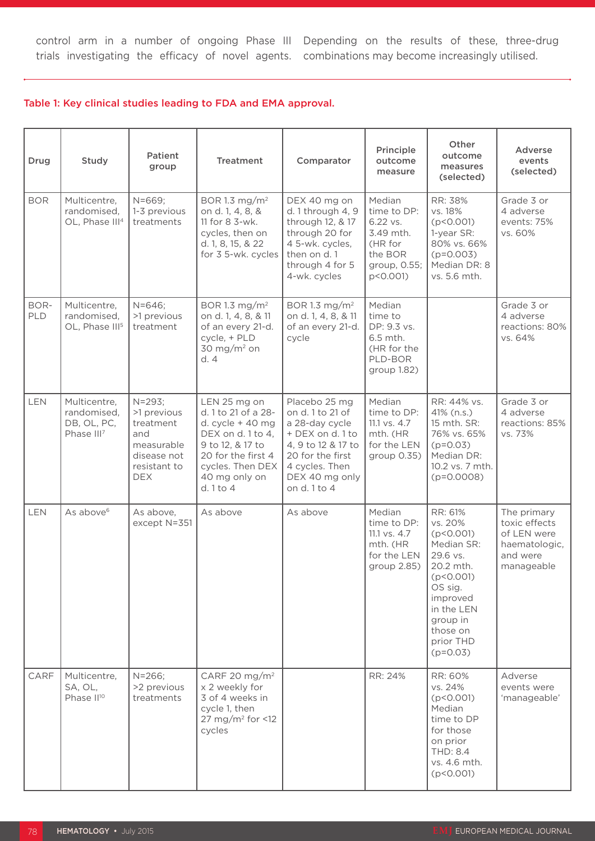control arm in a number of ongoing Phase III Depending on the results of these, three-drug trials investigating the efficacy of novel agents. combinations may become increasingly utilised.

#### Table 1: Key clinical studies leading to FDA and EMA approval.

| Drug        | Study                                                                | Patient<br>group                                                                                        | <b>Treatment</b>                                                                                                                                                              | Comparator                                                                                                                                                            | Principle<br>outcome<br>measure                                                                  | Other<br>outcome<br>measures<br>(selected)                                                                                                                                      | Adverse<br>events<br>(selected)                                                        |
|-------------|----------------------------------------------------------------------|---------------------------------------------------------------------------------------------------------|-------------------------------------------------------------------------------------------------------------------------------------------------------------------------------|-----------------------------------------------------------------------------------------------------------------------------------------------------------------------|--------------------------------------------------------------------------------------------------|---------------------------------------------------------------------------------------------------------------------------------------------------------------------------------|----------------------------------------------------------------------------------------|
| <b>BOR</b>  | Multicentre,<br>randomised,<br>OL, Phase III <sup>4</sup>            | $N = 669;$<br>1-3 previous<br>treatments                                                                | BOR 1.3 mg/m <sup>2</sup><br>on d. 1, 4, 8, &<br>11 for 8 3-wk.<br>cycles, then on<br>d. 1, 8, 15, & 22<br>for 3 5-wk. cycles                                                 | DEX 40 mg on<br>d. 1 through 4, 9<br>through 12, & 17<br>through 20 for<br>4 5-wk. cycles,<br>then on d. 1<br>through 4 for 5<br>4-wk. cycles                         | Median<br>time to DP:<br>6.22 vs.<br>3.49 mth.<br>(HR for<br>the BOR<br>group, 0.55;<br>p<0.001) | RR: 38%<br>vs. 18%<br>(p < 0.001)<br>1-year SR:<br>80% vs. 66%<br>$(p=0.003)$<br>Median DR: 8<br>vs. 5.6 mth.                                                                   | Grade 3 or<br>4 adverse<br>events: 75%<br>vs. 60%                                      |
| BOR-<br>PLD | Multicentre,<br>randomised,<br>OL, Phase III <sup>5</sup>            | $N = 646$ ;<br>>1 previous<br>treatment                                                                 | BOR 1.3 mg/m <sup>2</sup><br>on d. 1, 4, 8, & 11<br>of an every 21-d.<br>cycle, + PLD<br>$30 \text{ mg/m}^2$ on<br>d.4                                                        | BOR 1.3 mg/m <sup>2</sup><br>on d. 1, 4, 8, & 11<br>of an every 21-d.<br>cycle                                                                                        | Median<br>time to<br>DP: 9.3 vs.<br>6.5 mth.<br>(HR for the<br>PLD-BOR<br>group 1.82)            |                                                                                                                                                                                 | Grade 3 or<br>4 adverse<br>reactions: 80%<br>vs. 64%                                   |
| <b>LEN</b>  | Multicentre,<br>randomised,<br>DB, OL, PC,<br>Phase III <sup>7</sup> | $N = 293$<br>>1 previous<br>treatment<br>and<br>measurable<br>disease not<br>resistant to<br><b>DEX</b> | LEN 25 mg on<br>d. 1 to 21 of a 28-<br>d. cycle $+40$ mg<br>DEX on d. 1 to 4,<br>9 to 12, & 17 to<br>20 for the first 4<br>cycles. Then DEX<br>40 mg only on<br>d. $1$ to $4$ | Placebo 25 mg<br>on d. 1 to 21 of<br>a 28-day cycle<br>+ DEX on d. 1 to<br>4, 9 to 12 & 17 to<br>20 for the first<br>4 cycles. Then<br>DEX 40 mg only<br>on d. 1 to 4 | Median<br>time to DP:<br>11.1 vs. 4.7<br>mth. (HR<br>for the LEN<br>group 0.35)                  | RR: 44% vs.<br>41% (n.s.)<br>15 mth. SR:<br>76% vs. 65%<br>$(p=0.03)$<br>Median DR:<br>10.2 vs. 7 mth.<br>$(p=0.0008)$                                                          | Grade 3 or<br>4 adverse<br>reactions: 85%<br>vs. 73%                                   |
| <b>LEN</b>  | As above <sup>6</sup>                                                | As above,<br>except N=351                                                                               | As above                                                                                                                                                                      | As above                                                                                                                                                              | Median<br>time to DP:<br>11.1 vs. 4.7<br>mth. (HR<br>for the LEN<br>group 2.85)                  | RR: 61%<br>vs. 20%<br>(p < 0.001)<br>Median SR:<br>29.6 vs.<br>20.2 mth.<br>(p < 0.001)<br>OS sig.<br>improved<br>in the LEN<br>group in<br>those on<br>prior THD<br>$(p=0.03)$ | The primary<br>toxic effects<br>of LEN were<br>haematologic,<br>and were<br>manageable |
| CARF        | Multicentre,<br>SA, OL,<br>Phase II <sup>10</sup>                    | $N = 266;$<br>>2 previous<br>treatments                                                                 | CARF 20 mg/m <sup>2</sup><br>x 2 weekly for<br>3 of 4 weeks in<br>cycle 1, then<br>27 mg/m <sup>2</sup> for <12<br>cycles                                                     |                                                                                                                                                                       | RR: 24%                                                                                          | RR: 60%<br>vs. 24%<br>(p < 0.001)<br>Median<br>time to DP<br>for those<br>on prior<br><b>THD: 8.4</b><br>vs. 4.6 mth.<br>(p < 0.001)                                            | Adverse<br>events were<br>'manageable'                                                 |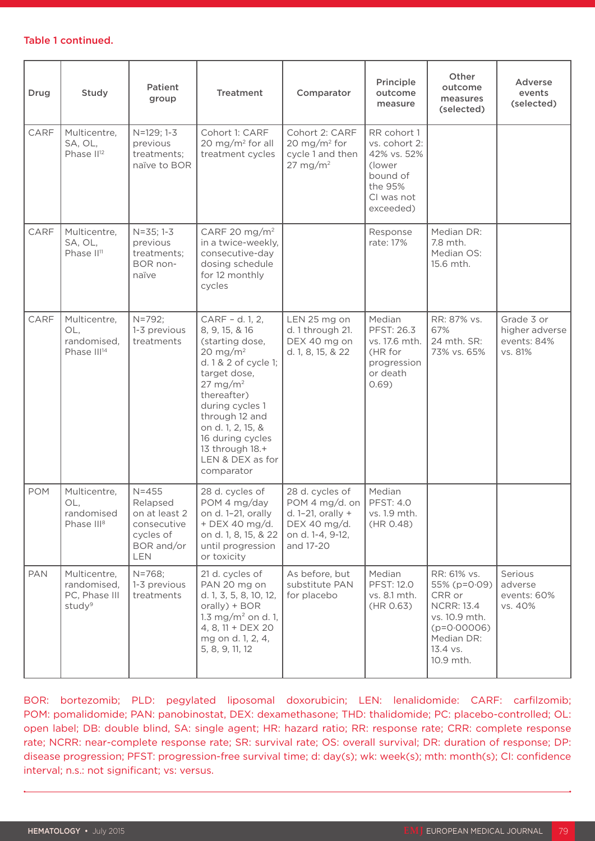#### Table 1 continued.

| Drug       | Study                                                              | Patient<br>group                                                                               | <b>Treatment</b>                                                                                                                                                                                                                                                                              | Comparator                                                                                                 | Principle<br>outcome<br>measure                                                                         | Other<br>outcome<br>measures<br>(selected)                                                                                          | Adverse<br>events<br>(selected)                        |
|------------|--------------------------------------------------------------------|------------------------------------------------------------------------------------------------|-----------------------------------------------------------------------------------------------------------------------------------------------------------------------------------------------------------------------------------------------------------------------------------------------|------------------------------------------------------------------------------------------------------------|---------------------------------------------------------------------------------------------------------|-------------------------------------------------------------------------------------------------------------------------------------|--------------------------------------------------------|
| CARF       | Multicentre,<br>SA, OL,<br>Phase II <sup>12</sup>                  | N=129; 1-3<br>previous<br>treatments;<br>naïve to BOR                                          | Cohort 1: CARF<br>20 mg/m <sup>2</sup> for all<br>treatment cycles                                                                                                                                                                                                                            | Cohort 2: CARF<br>20 mg/m <sup>2</sup> for<br>cycle 1 and then<br>$27 \text{ mg/m}^2$                      | RR cohort 1<br>vs. cohort 2:<br>42% vs. 52%<br>(lower<br>bound of<br>the 95%<br>CI was not<br>exceeded) |                                                                                                                                     |                                                        |
| CARF       | Multicentre,<br>SA, OL,<br>Phase II <sup>11</sup>                  | $N = 35; 1 - 3$<br>previous<br>treatments;<br>BOR non-<br>naïve                                | CARF 20 mg/m <sup>2</sup><br>in a twice-weekly,<br>consecutive-day<br>dosing schedule<br>for 12 monthly<br>cycles                                                                                                                                                                             |                                                                                                            | Response<br>rate: 17%                                                                                   | Median DR:<br>7.8 mth.<br>Median OS:<br>15.6 mth.                                                                                   |                                                        |
| CARF       | Multicentre,<br>OL,<br>randomised,<br>Phase III <sup>14</sup>      | $N = 792;$<br>1-3 previous<br>treatments                                                       | CARF - d. 1, 2,<br>8, 9, 15, & 16<br>(starting dose,<br>20 mg/m <sup>2</sup><br>d. 1 & 2 of cycle 1;<br>target dose,<br>$27 \text{ mg/m}^2$<br>thereafter)<br>during cycles 1<br>through 12 and<br>on d. 1, 2, 15, &<br>16 during cycles<br>13 through 18.+<br>LEN & DEX as for<br>comparator | LEN 25 mg on<br>d. 1 through 21.<br>DEX 40 mg on<br>d. 1, 8, 15, & 22                                      | Median<br>PFST: 26.3<br>vs. 17.6 mth.<br>(HR for<br>progression<br>or death<br>0.69)                    | RR: 87% vs.<br>67%<br>24 mth. SR:<br>73% vs. 65%                                                                                    | Grade 3 or<br>higher adverse<br>events: 84%<br>vs. 81% |
| <b>POM</b> | Multicentre,<br>OL,<br>randomised<br>Phase III <sup>8</sup>        | $N = 455$<br>Relapsed<br>on at least 2<br>consecutive<br>cycles of<br>BOR and/or<br><b>LEN</b> | 28 d. cycles of<br>POM 4 mg/day<br>on d. 1-21, orally<br>+ DEX 40 mg/d.<br>on d. 1, 8, 15, & 22<br>until progression<br>or toxicity                                                                                                                                                           | 28 d. cycles of<br>POM 4 mg/d. on<br>d. $1-21$ , orally +<br>DEX 40 mg/d.<br>on d. 1-4, 9-12,<br>and 17-20 | Median<br><b>PFST: 4.0</b><br>vs. 1.9 mth.<br>(HR 0.48)                                                 |                                                                                                                                     |                                                        |
| <b>PAN</b> | Multicentre,<br>randomised,<br>PC, Phase III<br>study <sup>9</sup> | $N = 768;$<br>1-3 previous<br>treatments                                                       | 21 d. cycles of<br>PAN 20 mg on<br>d. 1, 3, 5, 8, 10, 12,<br>orally) + BOR<br>1.3 mg/m <sup>2</sup> on d. 1,<br>4, 8, 11 + $DEX$ 20<br>mg on d. 1, 2, 4,<br>5, 8, 9, 11, 12                                                                                                                   | As before, but<br>substitute PAN<br>for placebo                                                            | Median<br><b>PFST: 12.0</b><br>vs. 8.1 mth.<br>(HR 0.63)                                                | RR: 61% vs.<br>55% (p=0.09)<br>CRR or<br><b>NCRR: 13.4</b><br>vs. 10.9 mth.<br>$(p=0.00006)$<br>Median DR:<br>13.4 vs.<br>10.9 mth. | Serious<br>adverse<br>events: 60%<br>vs. 40%           |

BOR: bortezomib; PLD: pegylated liposomal doxorubicin; LEN: lenalidomide: CARF: carfilzomib; POM: pomalidomide; PAN: panobinostat, DEX: dexamethasone; THD: thalidomide; PC: placebo-controlled; OL: open label; DB: double blind, SA: single agent; HR: hazard ratio; RR: response rate; CRR: complete response rate; NCRR: near-complete response rate; SR: survival rate; OS: overall survival; DR: duration of response; DP: disease progression; PFST: progression-free survival time; d: day(s); wk: week(s); mth: month(s); CI: confidence interval; n.s.: not significant; vs: versus.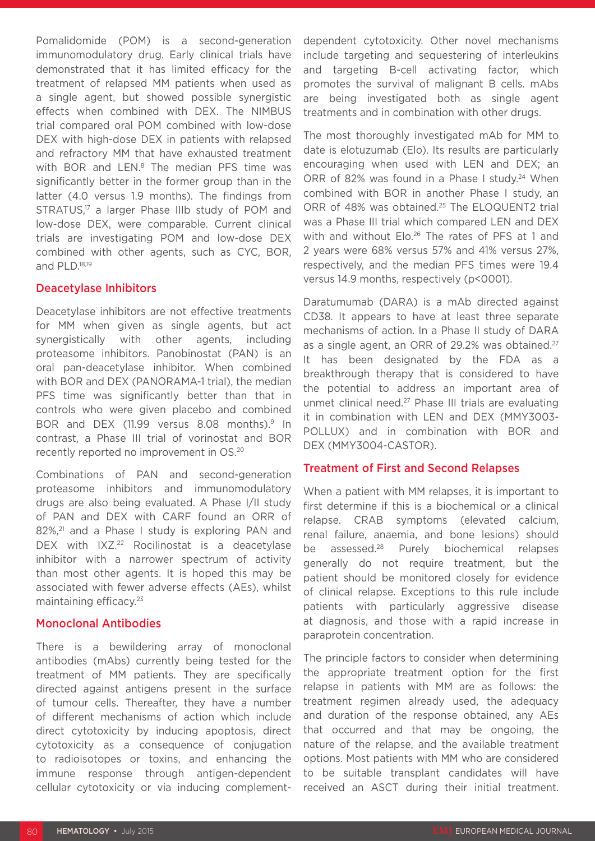Pomalidomide (POM) is a second-generation immunomodulatory drug. Early clinical trials have demonstrated that it has limited efficacy for the treatment of relapsed MM patients when used as a single agent, but showed possible synergistic effects when combined with DEX. The NIMBUS trial compared oral POM combined with low-dose DEX with high-dose DEX in patients with relapsed and refractory MM that have exhausted treatment with BOR and LEN.<sup>8</sup> The median PFS time was significantly better in the former group than in the latter (4.0 versus 1.9 months). The findings from STRATUS,<sup>17</sup> a larger Phase IIIb study of POM and low-dose DEX, were comparable. Current clinical trials are investigating POM and low-dose DEX combined with other agents, such as CYC, BOR, and PLD.18,19

#### Deacetylase Inhibitors

Deacetylase inhibitors are not effective treatments for MM when given as single agents, but act synergistically with other agents, including proteasome inhibitors. Panobinostat (PAN) is an oral pan-deacetylase inhibitor. When combined with BOR and DEX (PANORAMA-1 trial), the median PFS time was significantly better than that in controls who were given placebo and combined BOR and DEX (11.99 versus 8.08 months).<sup>9</sup> In contrast, a Phase III trial of vorinostat and BOR recently reported no improvement in OS.20

Combinations of PAN and second-generation proteasome inhibitors and immunomodulatory drugs are also being evaluated. A Phase I/II study of PAN and DEX with CARF found an ORR of 82%,<sup>21</sup> and a Phase I study is exploring PAN and DEX with IXZ.<sup>22</sup> Rocilinostat is a deacetylase inhibitor with a narrower spectrum of activity than most other agents. It is hoped this may be associated with fewer adverse effects (AEs), whilst maintaining efficacy.23

#### Monoclonal Antibodies

There is a bewildering array of monoclonal antibodies (mAbs) currently being tested for the treatment of MM patients. They are specifically directed against antigens present in the surface of tumour cells. Thereafter, they have a number of different mechanisms of action which include direct cytotoxicity by inducing apoptosis, direct cytotoxicity as a consequence of conjugation to radioisotopes or toxins, and enhancing the immune response through antigen-dependent cellular cytotoxicity or via inducing complementdependent cytotoxicity. Other novel mechanisms include targeting and sequestering of interleukins and targeting B-cell activating factor, which promotes the survival of malignant B cells. mAbs are being investigated both as single agent treatments and in combination with other drugs.

The most thoroughly investigated mAb for MM to date is elotuzumab (Elo). Its results are particularly encouraging when used with LEN and DEX; an ORR of 82% was found in a Phase I study.<sup>24</sup> When combined with BOR in another Phase I study, an ORR of 48% was obtained.<sup>25</sup> The ELOQUENT2 trial was a Phase III trial which compared LEN and DEX with and without Elo.<sup>26</sup> The rates of PFS at 1 and 2 years were 68% versus 57% and 41% versus 27%, respectively, and the median PFS times were 19.4 versus 14.9 months, respectively (p<0001).

Daratumumab (DARA) is a mAb directed against CD38. It appears to have at least three separate mechanisms of action. In a Phase II study of DARA as a single agent, an ORR of 29.2% was obtained.<sup>27</sup> It has been designated by the FDA as a breakthrough therapy that is considered to have the potential to address an important area of unmet clinical need.27 Phase III trials are evaluating it in combination with LEN and DEX (MMY3003- POLLUX) and in combination with BOR and DEX (MMY3004-CASTOR).

#### Treatment of First and Second Relapses

When a patient with MM relapses, it is important to first determine if this is a biochemical or a clinical relapse. CRAB symptoms (elevated calcium, renal failure, anaemia, and bone lesions) should be assessed.<sup>28</sup> Purely biochemical relapses generally do not require treatment, but the patient should be monitored closely for evidence of clinical relapse. Exceptions to this rule include patients with particularly aggressive disease at diagnosis, and those with a rapid increase in paraprotein concentration.

The principle factors to consider when determining the appropriate treatment option for the first relapse in patients with MM are as follows: the treatment regimen already used, the adequacy and duration of the response obtained, any AEs that occurred and that may be ongoing, the nature of the relapse, and the available treatment options. Most patients with MM who are considered to be suitable transplant candidates will have received an ASCT during their initial treatment.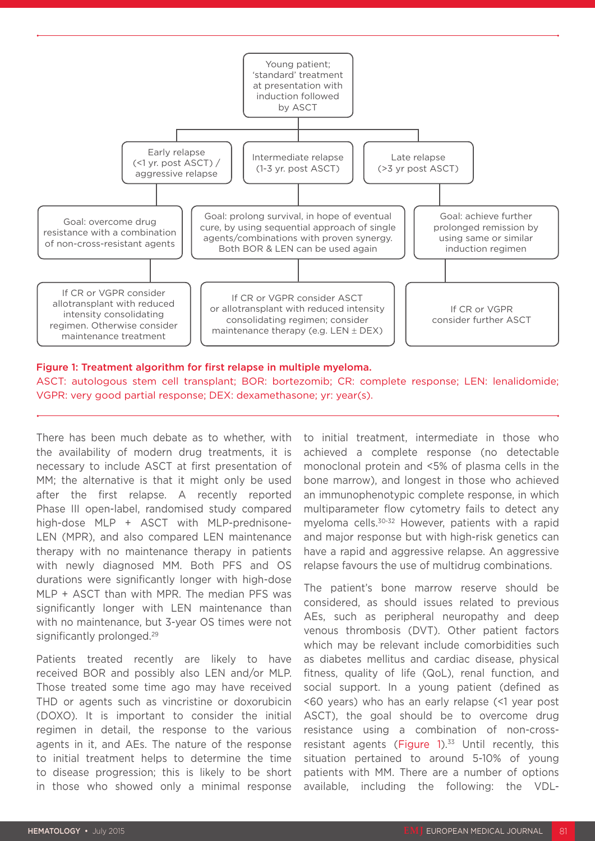

#### Figure 1: Treatment algorithm for first relapse in multiple myeloma.

ASCT: autologous stem cell transplant; BOR: bortezomib; CR: complete response; LEN: lenalidomide; VGPR: very good partial response; DEX: dexamethasone; yr: year(s).

There has been much debate as to whether, with the availability of modern drug treatments, it is necessary to include ASCT at first presentation of MM; the alternative is that it might only be used after the first relapse. A recently reported Phase III open-label, randomised study compared high-dose MLP + ASCT with MLP-prednisone-LEN (MPR), and also compared LEN maintenance therapy with no maintenance therapy in patients with newly diagnosed MM. Both PFS and OS durations were significantly longer with high-dose MLP + ASCT than with MPR. The median PFS was significantly longer with LEN maintenance than with no maintenance, but 3-year OS times were not significantly prolonged.<sup>29</sup>

Patients treated recently are likely to have received BOR and possibly also LEN and/or MLP. Those treated some time ago may have received THD or agents such as vincristine or doxorubicin (DOXO). It is important to consider the initial regimen in detail, the response to the various agents in it, and AEs. The nature of the response to initial treatment helps to determine the time to disease progression; this is likely to be short in those who showed only a minimal response

to initial treatment, intermediate in those who achieved a complete response (no detectable monoclonal protein and <5% of plasma cells in the bone marrow), and longest in those who achieved an immunophenotypic complete response, in which multiparameter flow cytometry fails to detect any myeloma cells.30-32 However, patients with a rapid and major response but with high-risk genetics can have a rapid and aggressive relapse. An aggressive relapse favours the use of multidrug combinations.

The patient's bone marrow reserve should be considered, as should issues related to previous AEs, such as peripheral neuropathy and deep venous thrombosis (DVT). Other patient factors which may be relevant include comorbidities such as diabetes mellitus and cardiac disease, physical fitness, quality of life (QoL), renal function, and social support. In a young patient (defined as <60 years) who has an early relapse (<1 year post ASCT), the goal should be to overcome drug resistance using a combination of non-crossresistant agents (Figure  $1$ ).<sup>33</sup> Until recently, this situation pertained to around 5-10% of young patients with MM. There are a number of options available, including the following: the VDL-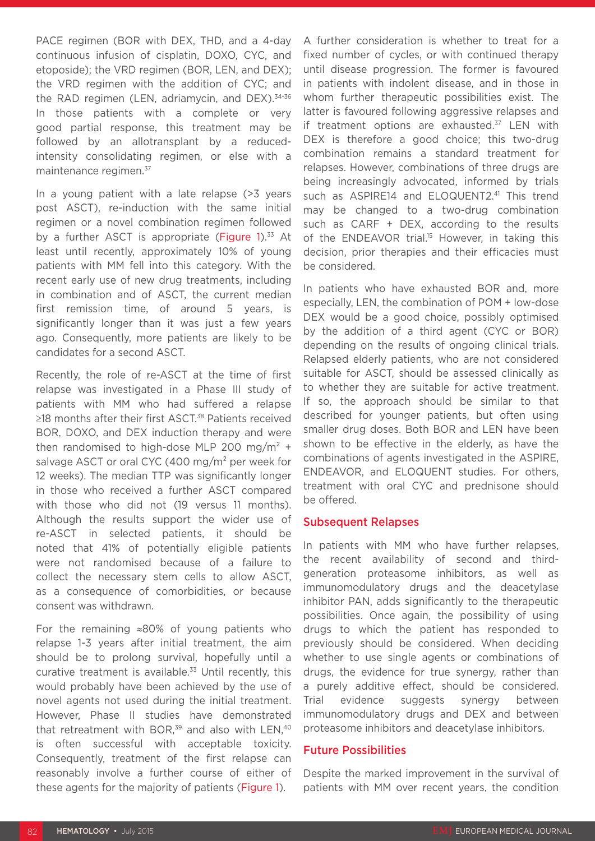PACE regimen (BOR with DEX, THD, and a 4-day continuous infusion of cisplatin, DOXO, CYC, and etoposide); the VRD regimen (BOR, LEN, and DEX); the VRD regimen with the addition of CYC; and the RAD regimen (LEN, adriamycin, and DEX).<sup>34-36</sup> In those patients with a complete or very good partial response, this treatment may be followed by an allotransplant by a reducedintensity consolidating regimen, or else with a maintenance regimen.<sup>37</sup>

In a young patient with a late relapse (>3 years post ASCT), re-induction with the same initial regimen or a novel combination regimen followed by a further ASCT is appropriate (Figure 1).<sup>33</sup> At least until recently, approximately 10% of young patients with MM fell into this category. With the recent early use of new drug treatments, including in combination and of ASCT, the current median first remission time, of around 5 years, is significantly longer than it was just a few years ago. Consequently, more patients are likely to be candidates for a second ASCT.

Recently, the role of re-ASCT at the time of first relapse was investigated in a Phase III study of patients with MM who had suffered a relapse ≥18 months after their first ASCT.<sup>38</sup> Patients received BOR, DOXO, and DEX induction therapy and were then randomised to high-dose MLP 200 mg/m<sup>2</sup> + salvage ASCT or oral CYC (400 mg/m² per week for 12 weeks). The median TTP was significantly longer in those who received a further ASCT compared with those who did not (19 versus 11 months). Although the results support the wider use of re-ASCT in selected patients, it should be noted that 41% of potentially eligible patients were not randomised because of a failure to collect the necessary stem cells to allow ASCT, as a consequence of comorbidities, or because consent was withdrawn.

For the remaining ≈80% of young patients who relapse 1-3 years after initial treatment, the aim should be to prolong survival, hopefully until a curative treatment is available.<sup>33</sup> Until recently, this would probably have been achieved by the use of novel agents not used during the initial treatment. However, Phase II studies have demonstrated that retreatment with BOR, $39$  and also with LEN, $40$ is often successful with acceptable toxicity. Consequently, treatment of the first relapse can reasonably involve a further course of either of these agents for the majority of patients (Figure 1).

A further consideration is whether to treat for a fixed number of cycles, or with continued therapy until disease progression. The former is favoured in patients with indolent disease, and in those in whom further therapeutic possibilities exist. The latter is favoured following aggressive relapses and if treatment options are exhausted.<sup>37</sup> LEN with DEX is therefore a good choice; this two-drug combination remains a standard treatment for relapses. However, combinations of three drugs are being increasingly advocated, informed by trials such as ASPIRE14 and ELOQUENT2.<sup>41</sup> This trend may be changed to a two-drug combination such as CARF + DEX, according to the results of the ENDEAVOR trial.<sup>15</sup> However, in taking this decision, prior therapies and their efficacies must be considered.

In patients who have exhausted BOR and, more especially, LEN, the combination of POM + low-dose DEX would be a good choice, possibly optimised by the addition of a third agent (CYC or BOR) depending on the results of ongoing clinical trials. Relapsed elderly patients, who are not considered suitable for ASCT, should be assessed clinically as to whether they are suitable for active treatment. If so, the approach should be similar to that described for younger patients, but often using smaller drug doses. Both BOR and LEN have been shown to be effective in the elderly, as have the combinations of agents investigated in the ASPIRE, ENDEAVOR, and ELOQUENT studies. For others, treatment with oral CYC and prednisone should be offered.

#### Subsequent Relapses

In patients with MM who have further relapses, the recent availability of second and thirdgeneration proteasome inhibitors, as well as immunomodulatory drugs and the deacetylase inhibitor PAN, adds significantly to the therapeutic possibilities. Once again, the possibility of using drugs to which the patient has responded to previously should be considered. When deciding whether to use single agents or combinations of drugs, the evidence for true synergy, rather than a purely additive effect, should be considered. Trial evidence suggests synergy between immunomodulatory drugs and DEX and between proteasome inhibitors and deacetylase inhibitors.

#### Future Possibilities

Despite the marked improvement in the survival of patients with MM over recent years, the condition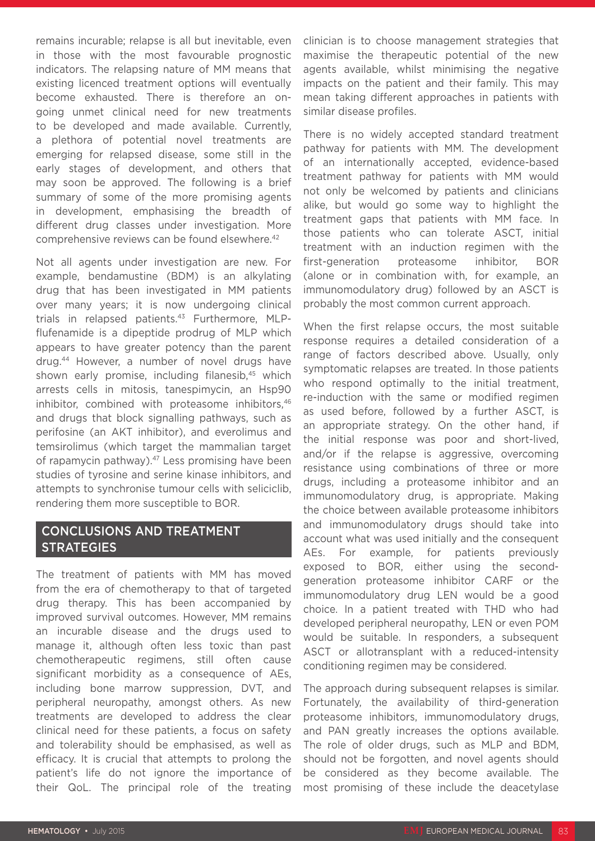remains incurable; relapse is all but inevitable, even in those with the most favourable prognostic indicators. The relapsing nature of MM means that existing licenced treatment options will eventually become exhausted. There is therefore an ongoing unmet clinical need for new treatments to be developed and made available. Currently, a plethora of potential novel treatments are emerging for relapsed disease, some still in the early stages of development, and others that may soon be approved. The following is a brief summary of some of the more promising agents in development, emphasising the breadth of different drug classes under investigation. More comprehensive reviews can be found elsewhere.42

Not all agents under investigation are new. For example, bendamustine (BDM) is an alkylating drug that has been investigated in MM patients over many years; it is now undergoing clinical trials in relapsed patients.<sup>43</sup> Furthermore, MLPflufenamide is a dipeptide prodrug of MLP which appears to have greater potency than the parent drug.44 However, a number of novel drugs have shown early promise, including filanesib,<sup>45</sup> which arrests cells in mitosis, tanespimycin, an Hsp90 inhibitor, combined with proteasome inhibitors, 46 and drugs that block signalling pathways, such as perifosine (an AKT inhibitor), and everolimus and temsirolimus (which target the mammalian target of rapamycin pathway).<sup>47</sup> Less promising have been studies of tyrosine and serine kinase inhibitors, and attempts to synchronise tumour cells with seliciclib, rendering them more susceptible to BOR.

## CONCLUSIONS AND TREATMENT **STRATEGIES**

The treatment of patients with MM has moved from the era of chemotherapy to that of targeted drug therapy. This has been accompanied by improved survival outcomes. However, MM remains an incurable disease and the drugs used to manage it, although often less toxic than past chemotherapeutic regimens, still often cause significant morbidity as a consequence of AEs, including bone marrow suppression, DVT, and peripheral neuropathy, amongst others. As new treatments are developed to address the clear clinical need for these patients, a focus on safety and tolerability should be emphasised, as well as efficacy. It is crucial that attempts to prolong the patient's life do not ignore the importance of their QoL. The principal role of the treating

clinician is to choose management strategies that maximise the therapeutic potential of the new agents available, whilst minimising the negative impacts on the patient and their family. This may mean taking different approaches in patients with similar disease profiles.

There is no widely accepted standard treatment pathway for patients with MM. The development of an internationally accepted, evidence-based treatment pathway for patients with MM would not only be welcomed by patients and clinicians alike, but would go some way to highlight the treatment gaps that patients with MM face. In those patients who can tolerate ASCT, initial treatment with an induction regimen with the first-generation proteasome inhibitor, BOR (alone or in combination with, for example, an immunomodulatory drug) followed by an ASCT is probably the most common current approach.

When the first relapse occurs, the most suitable response requires a detailed consideration of a range of factors described above. Usually, only symptomatic relapses are treated. In those patients who respond optimally to the initial treatment, re-induction with the same or modified regimen as used before, followed by a further ASCT, is an appropriate strategy. On the other hand, if the initial response was poor and short-lived, and/or if the relapse is aggressive, overcoming resistance using combinations of three or more drugs, including a proteasome inhibitor and an immunomodulatory drug, is appropriate. Making the choice between available proteasome inhibitors and immunomodulatory drugs should take into account what was used initially and the consequent AEs. For example, for patients previously exposed to BOR, either using the secondgeneration proteasome inhibitor CARF or the immunomodulatory drug LEN would be a good choice. In a patient treated with THD who had developed peripheral neuropathy, LEN or even POM would be suitable. In responders, a subsequent ASCT or allotransplant with a reduced-intensity conditioning regimen may be considered.

The approach during subsequent relapses is similar. Fortunately, the availability of third-generation proteasome inhibitors, immunomodulatory drugs, and PAN greatly increases the options available. The role of older drugs, such as MLP and BDM, should not be forgotten, and novel agents should be considered as they become available. The most promising of these include the deacetylase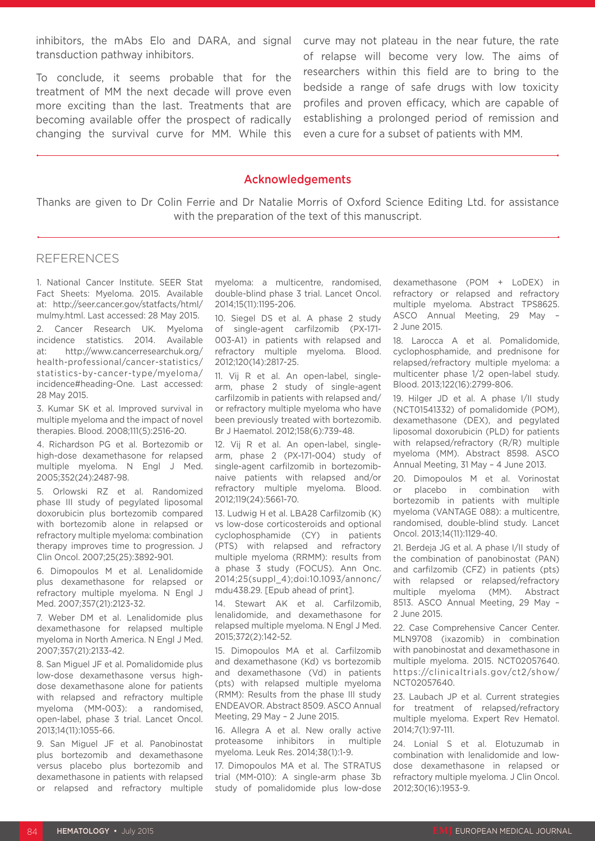inhibitors, the mAbs Elo and DARA, and signal transduction pathway inhibitors.

To conclude, it seems probable that for the treatment of MM the next decade will prove even more exciting than the last. Treatments that are becoming available offer the prospect of radically changing the survival curve for MM. While this curve may not plateau in the near future, the rate of relapse will become very low. The aims of researchers within this field are to bring to the bedside a range of safe drugs with low toxicity profiles and proven efficacy, which are capable of establishing a prolonged period of remission and even a cure for a subset of patients with MM.

#### Acknowledgements

Thanks are given to Dr Colin Ferrie and Dr Natalie Morris of Oxford Science Editing Ltd. for assistance with the preparation of the text of this manuscript.

#### REFERENCES

1. National Cancer Institute. SEER Stat Fact Sheets: Myeloma. 2015. Available at: http://seer.cancer.gov/statfacts/html/ mulmy.html. Last accessed: 28 May 2015.

2. Cancer Research UK. Myeloma incidence statistics. 2014. Available at: http://www.cancerresearchuk.org/ health-professional/cancer-statistics/ statistics-by-cancer-type/myeloma/ incidence#heading-One. Last accessed: 28 May 2015.

3. Kumar SK et al. Improved survival in multiple myeloma and the impact of novel therapies. Blood. 2008;111(5):2516-20.

4. Richardson PG et al. Bortezomib or high-dose dexamethasone for relapsed multiple myeloma. N Engl J Med. 2005;352(24):2487-98.

5. Orlowski RZ et al. Randomized phase III study of pegylated liposomal doxorubicin plus bortezomib compared with bortezomib alone in relapsed or refractory multiple myeloma: combination therapy improves time to progression. J Clin Oncol. 2007;25(25):3892-901.

6. Dimopoulos M et al. Lenalidomide plus dexamethasone for relapsed or refractory multiple myeloma. N Engl J Med. 2007;357(21):2123-32.

7. Weber DM et al. Lenalidomide plus dexamethasone for relapsed multiple myeloma in North America. N Engl J Med. 2007;357(21):2133-42.

8. San Miguel JF et al. Pomalidomide plus low-dose dexamethasone versus highdose dexamethasone alone for patients with relapsed and refractory multiple myeloma (MM-003): a randomised, open-label, phase 3 trial. Lancet Oncol. 2013;14(11):1055-66.

9. San Miguel JF et al. Panobinostat plus bortezomib and dexamethasone versus placebo plus bortezomib and dexamethasone in patients with relapsed or relapsed and refractory multiple

myeloma: a multicentre, randomised, double-blind phase 3 trial. Lancet Oncol. 2014;15(11):1195-206.

10. Siegel DS et al. A phase 2 study of single-agent carfilzomib (PX-171- 003-A1) in patients with relapsed and refractory multiple myeloma. Blood. 2012;120(14):2817-25.

11. Vij R et al. An open-label, singlearm, phase 2 study of single-agent carfilzomib in patients with relapsed and/ or refractory multiple myeloma who have been previously treated with bortezomib. Br J Haematol. 2012;158(6):739-48.

12. Vij R et al. An open-label, singlearm, phase 2 (PX-171-004) study of single-agent carfilzomib in bortezomibnaive patients with relapsed and/or refractory multiple myeloma. Blood. 2012;119(24):5661-70.

13. Ludwig H et al. LBA28 Carfilzomib (K) vs low-dose corticosteroids and optional cyclophosphamide (CY) in patients (PTS) with relapsed and refractory multiple myeloma (RRMM): results from a phase 3 study (FOCUS). Ann Onc. 2014;25(suppl\_4);doi:10.1093/annonc/ mdu438.29. [Epub ahead of print].

14. Stewart AK et al. Carfilzomib, lenalidomide, and dexamethasone for relapsed multiple myeloma. N Engl J Med. 2015;372(2):142-52.

15. Dimopoulos MA et al. Carfilzomib and dexamethasone (Kd) vs bortezomib and dexamethasone (Vd) in patients (pts) with relapsed multiple myeloma (RMM): Results from the phase III study ENDEAVOR. Abstract 8509. ASCO Annual Meeting, 29 May – 2 June 2015.

16. Allegra A et al. New orally active proteasome inhibitors in multiple myeloma. Leuk Res. 2014;38(1):1-9.

17. Dimopoulos MA et al. The STRATUS trial (MM-010): A single-arm phase 3b study of pomalidomide plus low-dose dexamethasone (POM + LoDEX) in refractory or relapsed and refractory multiple myeloma. Abstract TPS8625. ASCO Annual Meeting, 29 May – 2 June 2015.

18. Larocca A et al. Pomalidomide, cyclophosphamide, and prednisone for relapsed/refractory multiple myeloma: a multicenter phase 1/2 open-label study. Blood. 2013;122(16):2799-806.

19. Hilger JD et al. A phase I/II study (NCT01541332) of pomalidomide (POM), dexamethasone (DEX), and pegylated liposomal doxorubicin (PLD) for patients with relapsed/refractory (R/R) multiple myeloma (MM). Abstract 8598. ASCO Annual Meeting, 31 May – 4 June 2013.

20. Dimopoulos M et al. Vorinostat or placebo in combination with bortezomib in patients with multiple myeloma (VANTAGE 088): a multicentre, randomised, double-blind study. Lancet Oncol. 2013;14(11):1129-40.

21. Berdeja JG et al. A phase I/II study of the combination of panobinostat (PAN) and carfilzomib (CFZ) in patients (pts) with relapsed or relapsed/refractory multiple myeloma (MM). Abstract 8513. ASCO Annual Meeting, 29 May – 2 June 2015.

22. Case Comprehensive Cancer Center. MLN9708 (ixazomib) in combination with panobinostat and dexamethasone in multiple myeloma. 2015. NCT02057640. https://clinicaltrials.gov/ct2/show/ NCT02057640.

23. Laubach JP et al. Current strategies for treatment of relapsed/refractory multiple myeloma. Expert Rev Hematol. 2014;7(1):97-111.

24. Lonial S et al. Elotuzumab in combination with lenalidomide and lowdose dexamethasone in relapsed or refractory multiple myeloma. J Clin Oncol. 2012;30(16):1953-9.